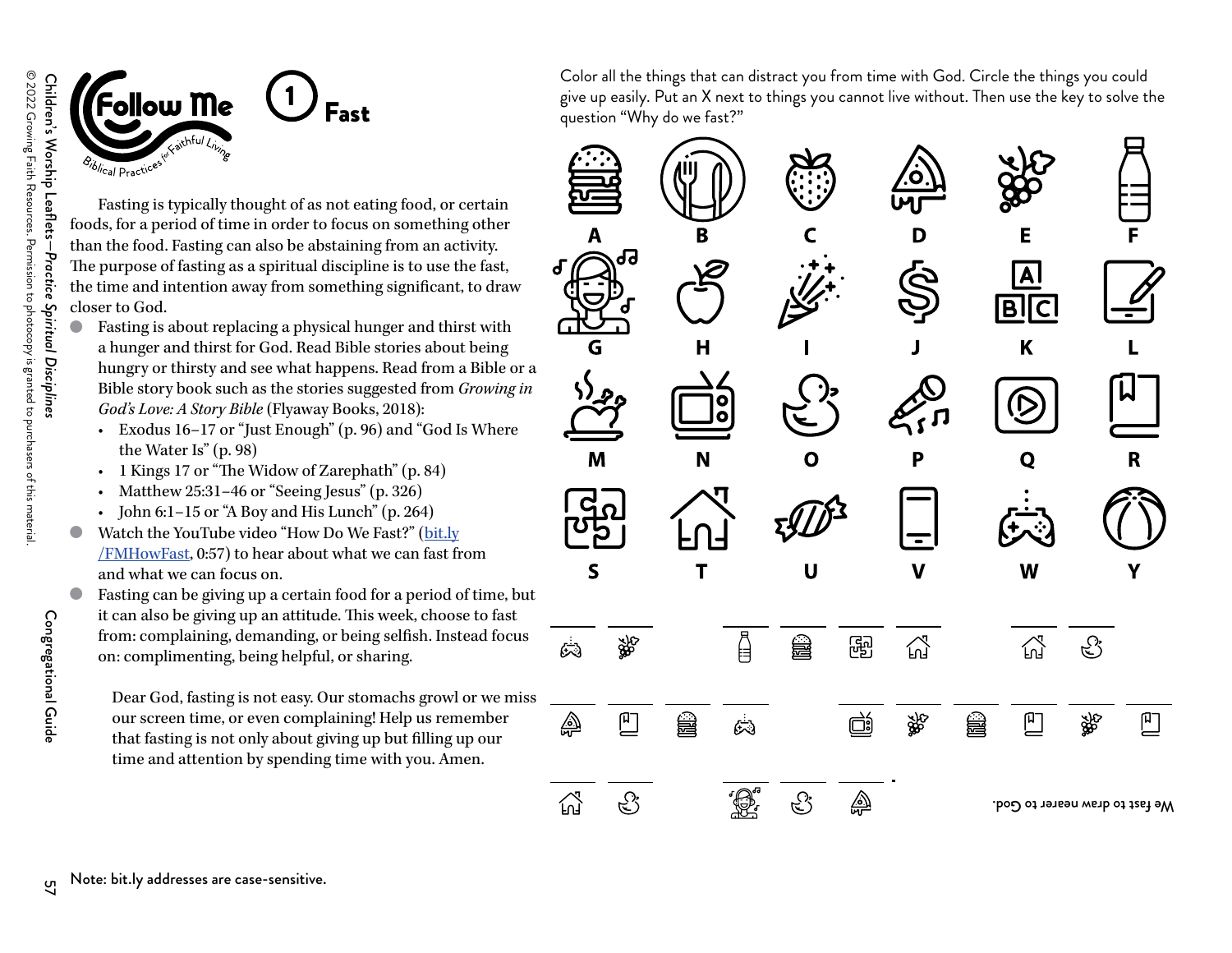

**Fast** 

Fasting is typically thought of as not eating food, or certain foods, for a period of time in order to focus on something other than the food. Fasting can also be abstaining from an activity. The purpose of fasting as a spiritual discipline is to use the fast, the time and intention away from something significant, to draw closer to God.

- Fasting is about replacing a physical hunger and thirst with a hunger and thirst for God. Read Bible stories about being hungry or thirsty and see what happens. Read from a Bible or a Bible story book such as the stories suggested from *Growing in God's Love: A Story Bible* (Flyaway Books, 2018):
	- Exodus 16–17 or "Just Enough" (p. 96) and "God Is Where the Water Is" (p. 98)
	- 1 Kings 17 or "The Widow of Zarephath" (p. 84)
	- Matthew 25:31–46 or "Seeing Jesus" (p. 326)
	- John 6:1–15 or "A Boy and His Lunch" (p. 264)
- Watch the YouTube video "How Do We Fast?" ([bit.ly](https://www.youtube.com/watch?v=HQhNo3hk4GI) [/FMHowFast](https://www.youtube.com/watch?v=HQhNo3hk4GI), 0:57) to hear about what we can fast from and what we can focus on.

Fasting can be giving up a certain food for a period of time, but it can also be giving up an attitude. This week, choose to fast from: complaining, demanding, or being selfish. Instead focus on: complimenting, being helpful, or sharing.

Dear God, fasting is not easy. Our stomachs growl or we miss our screen time, or even complaining! Help us remember that fasting is not only about giving up but filling up our time and attention by spending time with you. Amen.

Color all the things that can distract you from time with God. Circle the things you could give up easily. Put an X next to things you cannot live without. Then use the key to solve the question "Why do we fast?"



Congregational Guide

Congregational Guide